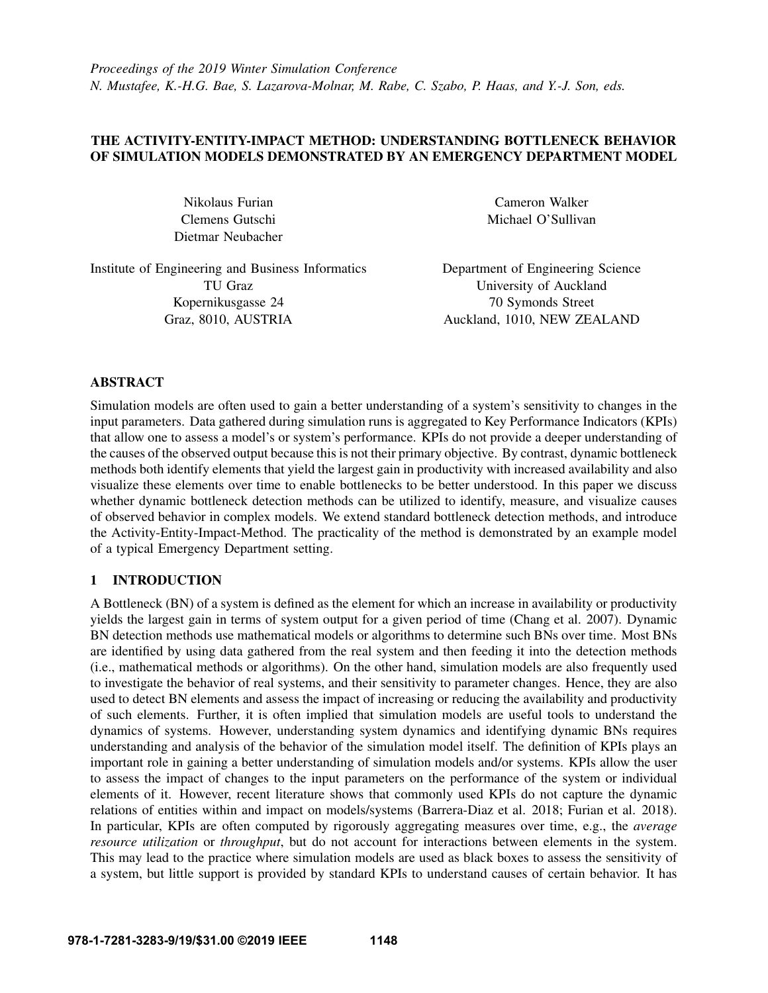## THE ACTIVITY-ENTITY-IMPACT METHOD: UNDERSTANDING BOTTLENECK BEHAVIOR OF SIMULATION MODELS DEMONSTRATED BY AN EMERGENCY DEPARTMENT MODEL

Nikolaus Furian Clemens Gutschi Dietmar Neubacher

Cameron Walker Michael O'Sullivan

Institute of Engineering and Business Informatics TU Graz Kopernikusgasse 24 Graz, 8010, AUSTRIA

Department of Engineering Science University of Auckland 70 Symonds Street Auckland, 1010, NEW ZEALAND

## ABSTRACT

Simulation models are often used to gain a better understanding of a system's sensitivity to changes in the input parameters. Data gathered during simulation runs is aggregated to Key Performance Indicators (KPIs) that allow one to assess a model's or system's performance. KPIs do not provide a deeper understanding of the causes of the observed output because this is not their primary objective. By contrast, dynamic bottleneck methods both identify elements that yield the largest gain in productivity with increased availability and also visualize these elements over time to enable bottlenecks to be better understood. In this paper we discuss whether dynamic bottleneck detection methods can be utilized to identify, measure, and visualize causes of observed behavior in complex models. We extend standard bottleneck detection methods, and introduce the Activity-Entity-Impact-Method. The practicality of the method is demonstrated by an example model of a typical Emergency Department setting.

## 1 INTRODUCTION

A Bottleneck (BN) of a system is defined as the element for which an increase in availability or productivity yields the largest gain in terms of system output for a given period of time [\(Chang et al. 2007\)](#page-10-0). Dynamic BN detection methods use mathematical models or algorithms to determine such BNs over time. Most BNs are identified by using data gathered from the real system and then feeding it into the detection methods (i.e., mathematical methods or algorithms). On the other hand, simulation models are also frequently used to investigate the behavior of real systems, and their sensitivity to parameter changes. Hence, they are also used to detect BN elements and assess the impact of increasing or reducing the availability and productivity of such elements. Further, it is often implied that simulation models are useful tools to understand the dynamics of systems. However, understanding system dynamics and identifying dynamic BNs requires understanding and analysis of the behavior of the simulation model itself. The definition of KPIs plays an important role in gaining a better understanding of simulation models and/or systems. KPIs allow the user to assess the impact of changes to the input parameters on the performance of the system or individual elements of it. However, recent literature shows that commonly used KPIs do not capture the dynamic relations of entities within and impact on models/systems [\(Barrera-Diaz et al. 2018;](#page-10-1) [Furian et al. 2018\)](#page-10-2). In particular, KPIs are often computed by rigorously aggregating measures over time, e.g., the *average resource utilization* or *throughput*, but do not account for interactions between elements in the system. This may lead to the practice where simulation models are used as black boxes to assess the sensitivity of a system, but little support is provided by standard KPIs to understand causes of certain behavior. It has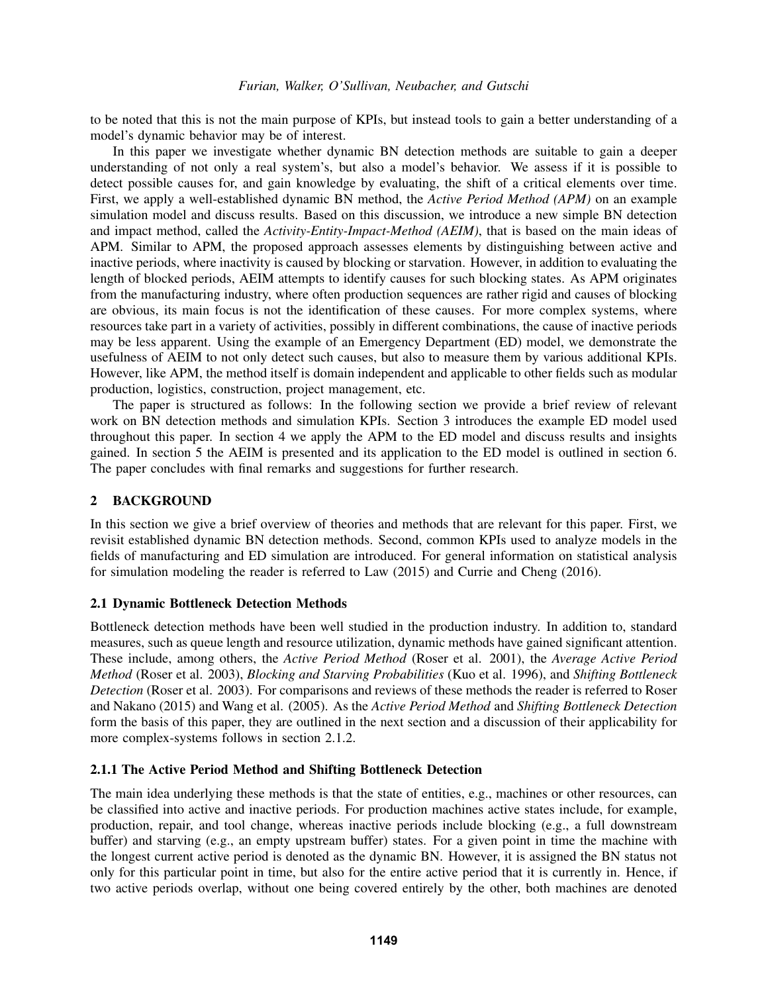to be noted that this is not the main purpose of KPIs, but instead tools to gain a better understanding of a model's dynamic behavior may be of interest.

In this paper we investigate whether dynamic BN detection methods are suitable to gain a deeper understanding of not only a real system's, but also a model's behavior. We assess if it is possible to detect possible causes for, and gain knowledge by evaluating, the shift of a critical elements over time. First, we apply a well-established dynamic BN method, the *Active Period Method (APM)* on an example simulation model and discuss results. Based on this discussion, we introduce a new simple BN detection and impact method, called the *Activity-Entity-Impact-Method (AEIM)*, that is based on the main ideas of APM. Similar to APM, the proposed approach assesses elements by distinguishing between active and inactive periods, where inactivity is caused by blocking or starvation. However, in addition to evaluating the length of blocked periods, AEIM attempts to identify causes for such blocking states. As APM originates from the manufacturing industry, where often production sequences are rather rigid and causes of blocking are obvious, its main focus is not the identification of these causes. For more complex systems, where resources take part in a variety of activities, possibly in different combinations, the cause of inactive periods may be less apparent. Using the example of an Emergency Department (ED) model, we demonstrate the usefulness of AEIM to not only detect such causes, but also to measure them by various additional KPIs. However, like APM, the method itself is domain independent and applicable to other fields such as modular production, logistics, construction, project management, etc.

The paper is structured as follows: In the following section we provide a brief review of relevant work on BN detection methods and simulation KPIs. Section [3](#page-2-0) introduces the example ED model used throughout this paper. In section [4](#page-4-0) we apply the APM to the ED model and discuss results and insights gained. In section [5](#page-5-0) the AEIM is presented and its application to the ED model is outlined in section [6.](#page-6-0) The paper concludes with final remarks and suggestions for further research.

### 2 BACKGROUND

In this section we give a brief overview of theories and methods that are relevant for this paper. First, we revisit established dynamic BN detection methods. Second, common KPIs used to analyze models in the fields of manufacturing and ED simulation are introduced. For general information on statistical analysis for simulation modeling the reader is referred to [Law \(2015\)](#page-11-0) and [Currie and Cheng \(2016\).](#page-10-3)

### 2.1 Dynamic Bottleneck Detection Methods

Bottleneck detection methods have been well studied in the production industry. In addition to, standard measures, such as queue length and resource utilization, dynamic methods have gained significant attention. These include, among others, the *Active Period Method* [\(Roser et al. 2001\)](#page-11-1), the *Average Active Period Method* [\(Roser et al. 2003\)](#page-11-2), *Blocking and Starving Probabilities* [\(Kuo et al. 1996\)](#page-11-3), and *Shifting Bottleneck Detection* [\(Roser et al. 2003\)](#page-11-2). For comparisons and reviews of these methods the reader is referred to [Roser](#page-11-4) [and Nakano \(2015\)](#page-11-4) and [Wang et al. \(2005\).](#page-11-5) As the *Active Period Method* and *Shifting Bottleneck Detection* form the basis of this paper, they are outlined in the next section and a discussion of their applicability for more complex-systems follows in section [2.1.2.](#page-2-1)

#### 2.1.1 The Active Period Method and Shifting Bottleneck Detection

The main idea underlying these methods is that the state of entities, e.g., machines or other resources, can be classified into active and inactive periods. For production machines active states include, for example, production, repair, and tool change, whereas inactive periods include blocking (e.g., a full downstream buffer) and starving (e.g., an empty upstream buffer) states. For a given point in time the machine with the longest current active period is denoted as the dynamic BN. However, it is assigned the BN status not only for this particular point in time, but also for the entire active period that it is currently in. Hence, if two active periods overlap, without one being covered entirely by the other, both machines are denoted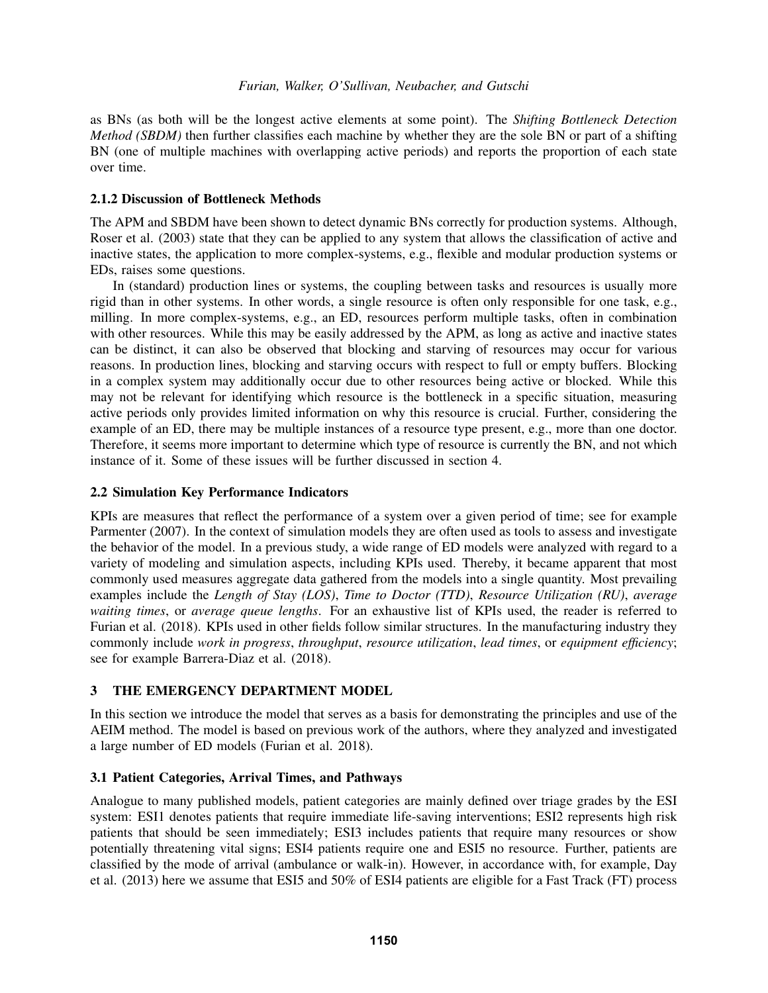as BNs (as both will be the longest active elements at some point). The *Shifting Bottleneck Detection Method (SBDM)* then further classifies each machine by whether they are the sole BN or part of a shifting BN (one of multiple machines with overlapping active periods) and reports the proportion of each state over time.

## <span id="page-2-1"></span>2.1.2 Discussion of Bottleneck Methods

The APM and SBDM have been shown to detect dynamic BNs correctly for production systems. Although, [Roser et al. \(2003\)](#page-11-2) state that they can be applied to any system that allows the classification of active and inactive states, the application to more complex-systems, e.g., flexible and modular production systems or EDs, raises some questions.

In (standard) production lines or systems, the coupling between tasks and resources is usually more rigid than in other systems. In other words, a single resource is often only responsible for one task, e.g., milling. In more complex-systems, e.g., an ED, resources perform multiple tasks, often in combination with other resources. While this may be easily addressed by the APM, as long as active and inactive states can be distinct, it can also be observed that blocking and starving of resources may occur for various reasons. In production lines, blocking and starving occurs with respect to full or empty buffers. Blocking in a complex system may additionally occur due to other resources being active or blocked. While this may not be relevant for identifying which resource is the bottleneck in a specific situation, measuring active periods only provides limited information on why this resource is crucial. Further, considering the example of an ED, there may be multiple instances of a resource type present, e.g., more than one doctor. Therefore, it seems more important to determine which type of resource is currently the BN, and not which instance of it. Some of these issues will be further discussed in section [4.](#page-4-0)

# 2.2 Simulation Key Performance Indicators

KPIs are measures that reflect the performance of a system over a given period of time; see for example [Parmenter \(2007\).](#page-11-6) In the context of simulation models they are often used as tools to assess and investigate the behavior of the model. In a previous study, a wide range of ED models were analyzed with regard to a variety of modeling and simulation aspects, including KPIs used. Thereby, it became apparent that most commonly used measures aggregate data gathered from the models into a single quantity. Most prevailing examples include the *Length of Stay (LOS)*, *Time to Doctor (TTD)*, *Resource Utilization (RU)*, *average waiting times*, or *average queue lengths*. For an exhaustive list of KPIs used, the reader is referred to [Furian et al. \(2018\).](#page-10-2) KPIs used in other fields follow similar structures. In the manufacturing industry they commonly include *work in progress*, *throughput*, *resource utilization*, *lead times*, or *equipment efficiency*; see for example [Barrera-Diaz et al. \(2018\).](#page-10-1)

# <span id="page-2-0"></span>3 THE EMERGENCY DEPARTMENT MODEL

In this section we introduce the model that serves as a basis for demonstrating the principles and use of the AEIM method. The model is based on previous work of the authors, where they analyzed and investigated a large number of ED models [\(Furian et al. 2018\)](#page-10-2).

## 3.1 Patient Categories, Arrival Times, and Pathways

Analogue to many published models, patient categories are mainly defined over triage grades by the ESI system: ESI1 denotes patients that require immediate life-saving interventions; ESI2 represents high risk patients that should be seen immediately; ESI3 includes patients that require many resources or show potentially threatening vital signs; ESI4 patients require one and ESI5 no resource. Further, patients are classified by the mode of arrival (ambulance or walk-in). However, in accordance with, for example, [Day](#page-10-4) [et al. \(2013\)](#page-10-4) here we assume that ESI5 and 50% of ESI4 patients are eligible for a Fast Track (FT) process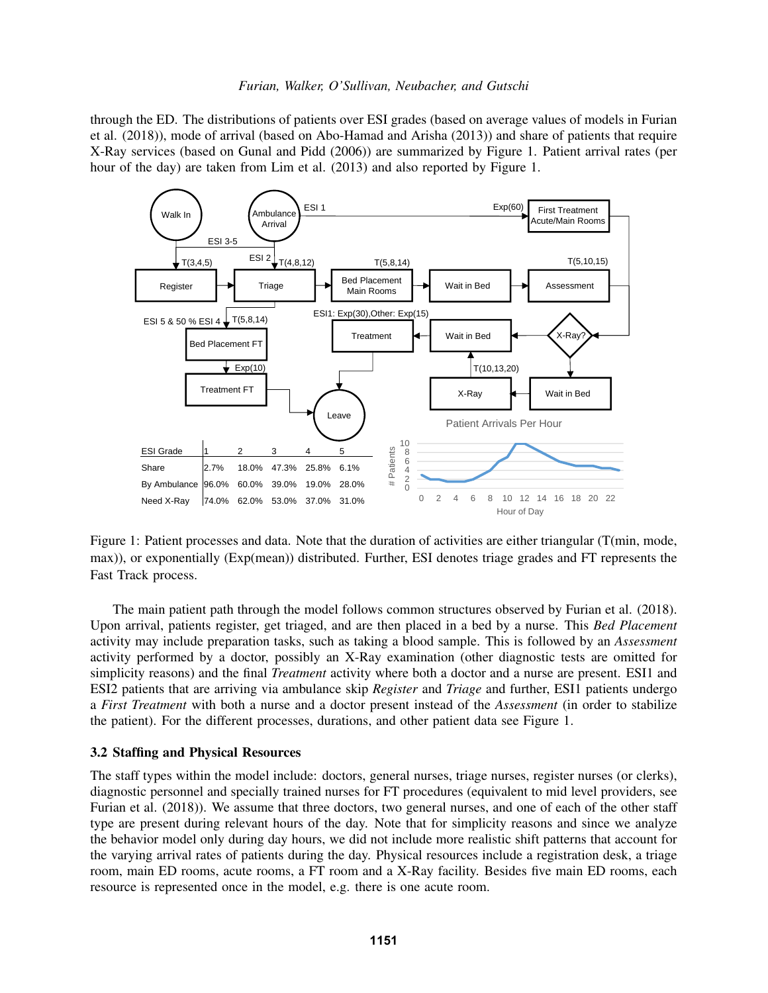#### *Furian, Walker, O'Sullivan, Neubacher, and Gutschi*

through the ED. The distributions of patients over ESI grades (based on average values of models in [Furian](#page-10-2) [et al. \(2018\)\)](#page-10-2), mode of arrival (based on [Abo-Hamad and Arisha \(2013\)\)](#page-10-5) and share of patients that require X-Ray services (based on [Gunal and Pidd \(2006\)\)](#page-11-7) are summarized by Figure [1.](#page-3-0) Patient arrival rates (per hour of the day) are taken from [Lim et al. \(2013\)](#page-11-8) and also reported by Figure [1.](#page-3-0)



<span id="page-3-0"></span>Figure 1: Patient processes and data. Note that the duration of activities are either triangular (T(min, mode, max)), or exponentially (Exp(mean)) distributed. Further, ESI denotes triage grades and FT represents the Fast Track process.

The main patient path through the model follows common structures observed by [Furian et al. \(2018\).](#page-10-2) Upon arrival, patients register, get triaged, and are then placed in a bed by a nurse. This *Bed Placement* activity may include preparation tasks, such as taking a blood sample. This is followed by an *Assessment* activity performed by a doctor, possibly an X-Ray examination (other diagnostic tests are omitted for simplicity reasons) and the final *Treatment* activity where both a doctor and a nurse are present. ESI1 and ESI2 patients that are arriving via ambulance skip *Register* and *Triage* and further, ESI1 patients undergo a *First Treatment* with both a nurse and a doctor present instead of the *Assessment* (in order to stabilize the patient). For the different processes, durations, and other patient data see Figure [1.](#page-3-0)

### 3.2 Staffing and Physical Resources

The staff types within the model include: doctors, general nurses, triage nurses, register nurses (or clerks), diagnostic personnel and specially trained nurses for FT procedures (equivalent to mid level providers, see [Furian et al. \(2018\)\)](#page-10-2). We assume that three doctors, two general nurses, and one of each of the other staff type are present during relevant hours of the day. Note that for simplicity reasons and since we analyze the behavior model only during day hours, we did not include more realistic shift patterns that account for the varying arrival rates of patients during the day. Physical resources include a registration desk, a triage room, main ED rooms, acute rooms, a FT room and a X-Ray facility. Besides five main ED rooms, each resource is represented once in the model, e.g. there is one acute room.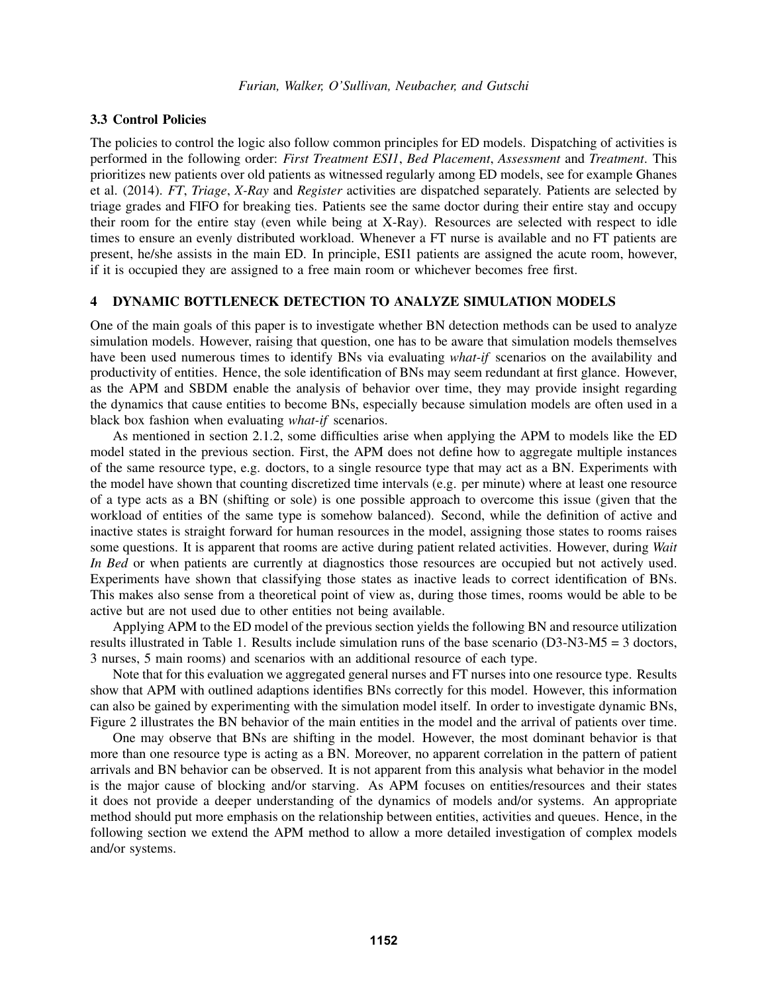### 3.3 Control Policies

The policies to control the logic also follow common principles for ED models. Dispatching of activities is performed in the following order: *First Treatment ESI1*, *Bed Placement*, *Assessment* and *Treatment*. This prioritizes new patients over old patients as witnessed regularly among ED models, see for example [Ghanes](#page-10-6) [et al. \(2014\).](#page-10-6) *FT*, *Triage*, *X-Ray* and *Register* activities are dispatched separately. Patients are selected by triage grades and FIFO for breaking ties. Patients see the same doctor during their entire stay and occupy their room for the entire stay (even while being at X-Ray). Resources are selected with respect to idle times to ensure an evenly distributed workload. Whenever a FT nurse is available and no FT patients are present, he/she assists in the main ED. In principle, ESI1 patients are assigned the acute room, however, if it is occupied they are assigned to a free main room or whichever becomes free first.

### <span id="page-4-0"></span>4 DYNAMIC BOTTLENECK DETECTION TO ANALYZE SIMULATION MODELS

One of the main goals of this paper is to investigate whether BN detection methods can be used to analyze simulation models. However, raising that question, one has to be aware that simulation models themselves have been used numerous times to identify BNs via evaluating *what-if* scenarios on the availability and productivity of entities. Hence, the sole identification of BNs may seem redundant at first glance. However, as the APM and SBDM enable the analysis of behavior over time, they may provide insight regarding the dynamics that cause entities to become BNs, especially because simulation models are often used in a black box fashion when evaluating *what-if* scenarios.

As mentioned in section [2.1.2,](#page-2-1) some difficulties arise when applying the APM to models like the ED model stated in the previous section. First, the APM does not define how to aggregate multiple instances of the same resource type, e.g. doctors, to a single resource type that may act as a BN. Experiments with the model have shown that counting discretized time intervals (e.g. per minute) where at least one resource of a type acts as a BN (shifting or sole) is one possible approach to overcome this issue (given that the workload of entities of the same type is somehow balanced). Second, while the definition of active and inactive states is straight forward for human resources in the model, assigning those states to rooms raises some questions. It is apparent that rooms are active during patient related activities. However, during *Wait In Bed* or when patients are currently at diagnostics those resources are occupied but not actively used. Experiments have shown that classifying those states as inactive leads to correct identification of BNs. This makes also sense from a theoretical point of view as, during those times, rooms would be able to be active but are not used due to other entities not being available.

Applying APM to the ED model of the previous section yields the following BN and resource utilization results illustrated in Table [1.](#page-5-1) Results include simulation runs of the base scenario (D3-N3-M5 = 3 doctors, 3 nurses, 5 main rooms) and scenarios with an additional resource of each type.

Note that for this evaluation we aggregated general nurses and FT nurses into one resource type. Results show that APM with outlined adaptions identifies BNs correctly for this model. However, this information can also be gained by experimenting with the simulation model itself. In order to investigate dynamic BNs, Figure [2](#page-5-2) illustrates the BN behavior of the main entities in the model and the arrival of patients over time.

One may observe that BNs are shifting in the model. However, the most dominant behavior is that more than one resource type is acting as a BN. Moreover, no apparent correlation in the pattern of patient arrivals and BN behavior can be observed. It is not apparent from this analysis what behavior in the model is the major cause of blocking and/or starving. As APM focuses on entities/resources and their states it does not provide a deeper understanding of the dynamics of models and/or systems. An appropriate method should put more emphasis on the relationship between entities, activities and queues. Hence, in the following section we extend the APM method to allow a more detailed investigation of complex models and/or systems.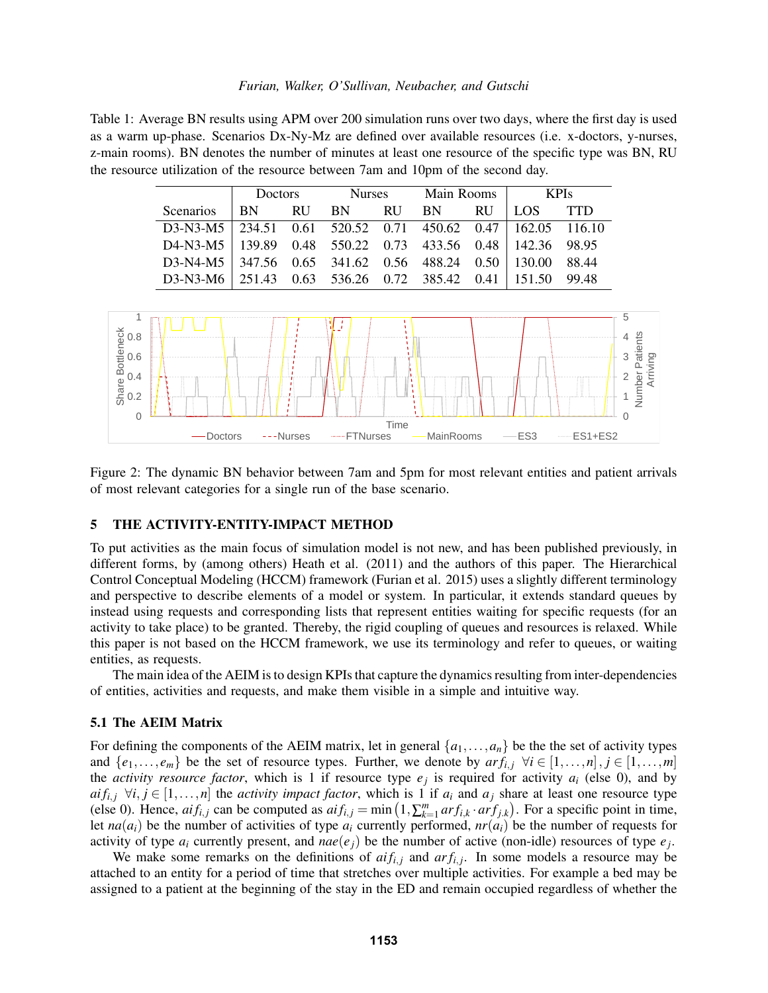#### *Furian, Walker, O'Sullivan, Neubacher, and Gutschi*

<span id="page-5-1"></span>Table 1: Average BN results using APM over 200 simulation runs over two days, where the first day is used as a warm up-phase. Scenarios Dx-Ny-Mz are defined over available resources (i.e. x-doctors, y-nurses, z-main rooms). BN denotes the number of minutes at least one resource of the specific type was BN, RU the resource utilization of the resource between 7am and 10pm of the second day.

|                                                                  | Doctors |           | Nurses | Main Rooms |           | <b>KPIs</b> |            |  |
|------------------------------------------------------------------|---------|-----------|--------|------------|-----------|-------------|------------|--|
| <b>Scenarios</b>                                                 | RN —    | <b>RU</b> | BN RU  | BN -       | <b>RU</b> | LOS.        | <b>TTD</b> |  |
| $D3-N3-M5$   234.51 0.61 520.52 0.71 450.62 0.47   162.05 116.10 |         |           |        |            |           |             |            |  |
| D4-N3-M5   139.89 0.48 550.22 0.73 433.56 0.48   142.36 98.95    |         |           |        |            |           |             |            |  |
| $D3-N4-M5$ 347.56 0.65 341.62 0.56 488.24 0.50 130.00 88.44      |         |           |        |            |           |             |            |  |
| D3-N3-M6   251.43 0.63 536.26 0.72 385.42 0.41   151.50 99.48    |         |           |        |            |           |             |            |  |



<span id="page-5-2"></span>Figure 2: The dynamic BN behavior between 7am and 5pm for most relevant entities and patient arrivals of most relevant categories for a single run of the base scenario.

## <span id="page-5-0"></span>5 THE ACTIVITY-ENTITY-IMPACT METHOD

To put activities as the main focus of simulation model is not new, and has been published previously, in different forms, by (among others) [Heath et al. \(2011\)](#page-11-9) and the authors of this paper. The Hierarchical Control Conceptual Modeling (HCCM) framework [\(Furian et al. 2015\)](#page-10-7) uses a slightly different terminology and perspective to describe elements of a model or system. In particular, it extends standard queues by instead using requests and corresponding lists that represent entities waiting for specific requests (for an activity to take place) to be granted. Thereby, the rigid coupling of queues and resources is relaxed. While this paper is not based on the HCCM framework, we use its terminology and refer to queues, or waiting entities, as requests.

The main idea of the AEIM is to design KPIs that capture the dynamics resulting from inter-dependencies of entities, activities and requests, and make them visible in a simple and intuitive way.

### 5.1 The AEIM Matrix

For defining the components of the AEIM matrix, let in general  $\{a_1, \ldots, a_n\}$  be the the set of activity types and  $\{e_1, \ldots, e_m\}$  be the set of resource types. Further, we denote by  $ar f_{i,j}$   $\forall i \in [1, \ldots, n], j \in [1, \ldots, m]$ the *activity resource factor*, which is 1 if resource type  $e_j$  is required for activity  $a_i$  (else 0), and by  $a$ *i*,  $f$   $\forall i, j \in [1, ..., n]$  the *activity impact factor*, which is 1 if  $a_i$  and  $a_j$  share at least one resource type (else 0). Hence,  $aif_{i,j}$  can be computed as  $aif_{i,j} = \min(1, \sum_{k=1}^{m} arf_{i,k} \cdot arf_{j,k})$ . For a specific point in time, let  $na(a_i)$  be the number of activities of type  $a_i$  currently performed,  $nr(a_i)$  be the number of requests for activity of type  $a_i$  currently present, and  $nae(e_j)$  be the number of active (non-idle) resources of type  $e_j$ .

We make some remarks on the definitions of  $aif_{i,j}$  and  $arf_{i,j}$ . In some models a resource may be attached to an entity for a period of time that stretches over multiple activities. For example a bed may be assigned to a patient at the beginning of the stay in the ED and remain occupied regardless of whether the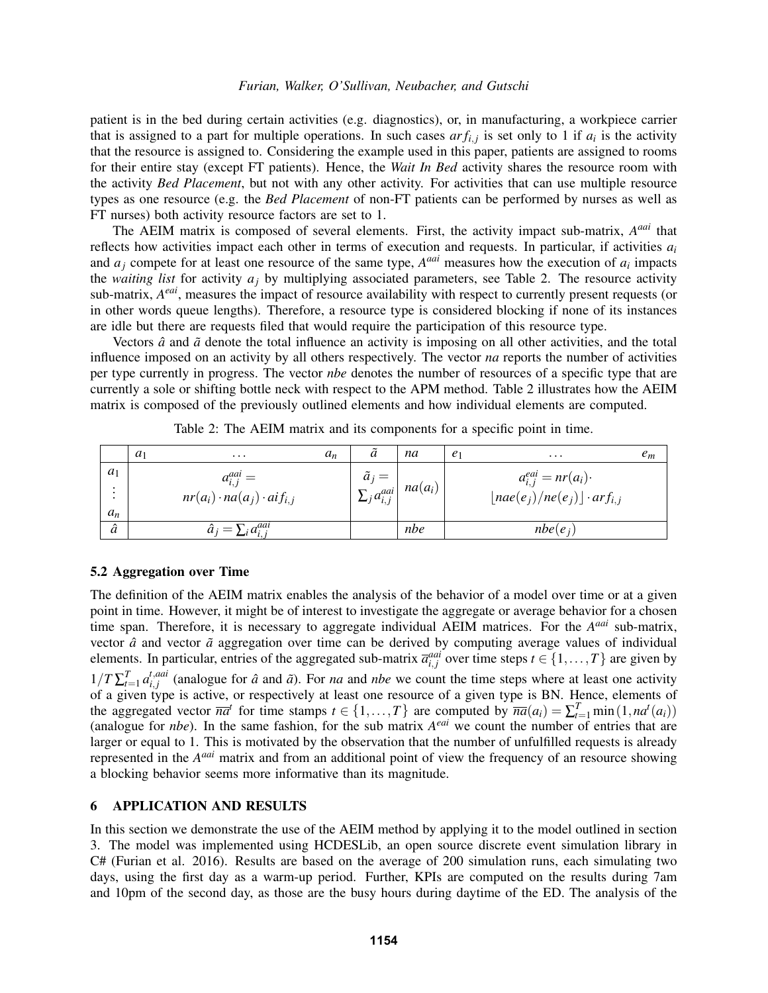patient is in the bed during certain activities (e.g. diagnostics), or, in manufacturing, a workpiece carrier that is assigned to a part for multiple operations. In such cases  $ar f_{i,j}$  is set only to 1 if  $a_i$  is the activity that the resource is assigned to. Considering the example used in this paper, patients are assigned to rooms for their entire stay (except FT patients). Hence, the *Wait In Bed* activity shares the resource room with the activity *Bed Placement*, but not with any other activity. For activities that can use multiple resource types as one resource (e.g. the *Bed Placement* of non-FT patients can be performed by nurses as well as FT nurses) both activity resource factors are set to 1.

The AEIM matrix is composed of several elements. First, the activity impact sub-matrix, *A aai* that reflects how activities impact each other in terms of execution and requests. In particular, if activities *a<sup>i</sup>* and  $a_j$  compete for at least one resource of the same type,  $A^{aai}$  measures how the execution of  $a_i$  impacts the *waiting list* for activity  $a_j$  by multiplying associated parameters, see Table [2.](#page-6-1) The resource activity sub-matrix, *A eai*, measures the impact of resource availability with respect to currently present requests (or in other words queue lengths). Therefore, a resource type is considered blocking if none of its instances are idle but there are requests filed that would require the participation of this resource type.

Vectors  $\hat{a}$  and  $\tilde{a}$  denote the total influence an activity is imposing on all other activities, and the total influence imposed on an activity by all others respectively. The vector *na* reports the number of activities per type currently in progress. The vector *nbe* denotes the number of resources of a specific type that are currently a sole or shifting bottle neck with respect to the APM method. Table [2](#page-6-1) illustrates how the AEIM matrix is composed of the previously outlined elements and how individual elements are computed.

|                | $a_1$ | $\cdots$                                                       | $a_n$ | a                                             | na  | e <sub>1</sub><br>$\cdots$                                                 | $e_m$ |
|----------------|-------|----------------------------------------------------------------|-------|-----------------------------------------------|-----|----------------------------------------------------------------------------|-------|
| $a_1$<br>$a_n$ |       | $a_{i,i}^{a a i} =$<br>$nr(a_i) \cdot na(a_j) \cdot aif_{i,j}$ |       | $\sum_{j}^{\prime} a_{i,j}^{a a i}$ $na(a_i)$ |     | $a_{i,j}^{e a i} = n r(a_i) \cdot$<br>$ nae(e_j)/ne(e_j) \cdot arf_{i,j} $ |       |
| $\hat{a}$      |       | $\hat{a}_j = \sum_i a_{i,j}^{a a i}$                           |       |                                               | nbe | $nbe(e_i)$                                                                 |       |

<span id="page-6-1"></span>Table 2: The AEIM matrix and its components for a specific point in time.

## 5.2 Aggregation over Time

The definition of the AEIM matrix enables the analysis of the behavior of a model over time or at a given point in time. However, it might be of interest to investigate the aggregate or average behavior for a chosen time span. Therefore, it is necessary to aggregate individual AEIM matrices. For the A<sup>aai</sup> sub-matrix, vector  $\hat{a}$  and vector  $\tilde{a}$  aggregation over time can be derived by computing average values of individual elements. In particular, entries of the aggregated sub-matrix  $\overline{a}^{aai}_{i,j}$  over time steps  $t \in \{1, ..., T\}$  are given by  $1/T \sum_{t=1}^{T} a_{i,j}^{t, a a i}$  $\hat{a}^{t, and}_{i,j}$  (analogue for  $\hat{a}$  and  $\tilde{a}$ ). For *na* and *nbe* we count the time steps where at least one activity of a given type is active, or respectively at least one resource of a given type is BN. Hence, elements of the aggregated vector  $\overline{na}^t$  for time stamps  $t \in \{1, ..., T\}$  are computed by  $\overline{na}(a_i) = \sum_{t=1}^T \min(1, na^t(a_i))$ (analogue for *nbe*). In the same fashion, for the sub matrix *A eai* we count the number of entries that are larger or equal to 1. This is motivated by the observation that the number of unfulfilled requests is already represented in the *A<sup>aai</sup>* matrix and from an additional point of view the frequency of an resource showing a blocking behavior seems more informative than its magnitude.

## <span id="page-6-0"></span>6 APPLICATION AND RESULTS

In this section we demonstrate the use of the AEIM method by applying it to the model outlined in section [3.](#page-2-0) The model was implemented using HCDESLib, an open source discrete event simulation library in C# [\(Furian et al. 2016\)](#page-10-8). Results are based on the average of 200 simulation runs, each simulating two days, using the first day as a warm-up period. Further, KPIs are computed on the results during 7am and 10pm of the second day, as those are the busy hours during daytime of the ED. The analysis of the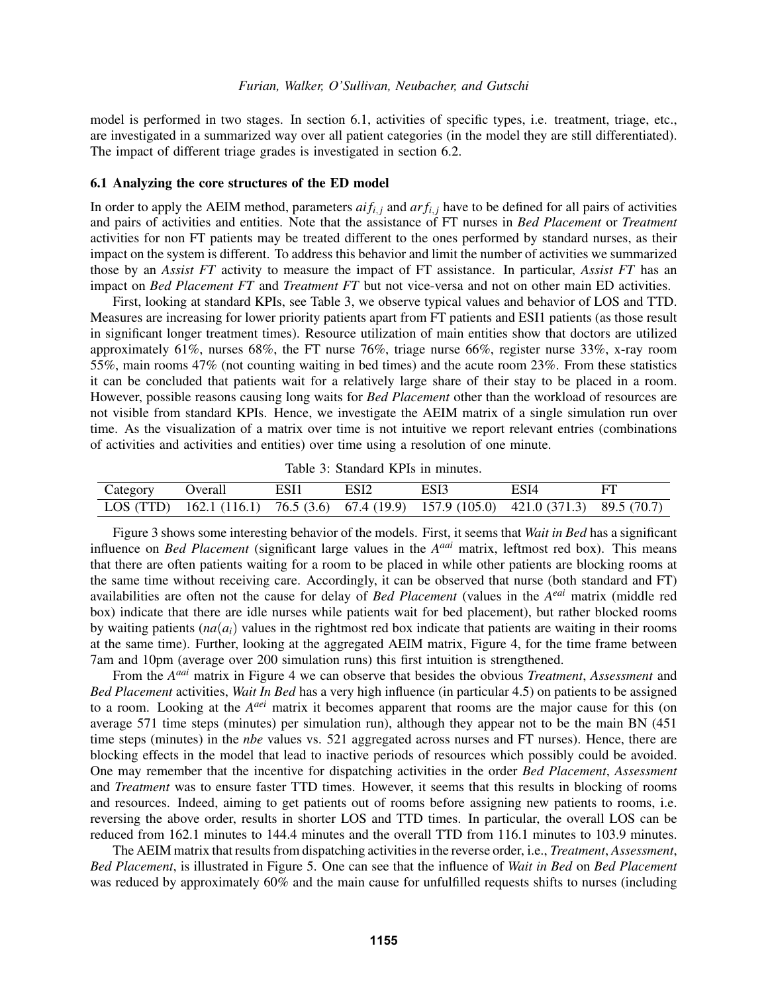model is performed in two stages. In section [6.1,](#page-7-0) activities of specific types, i.e. treatment, triage, etc., are investigated in a summarized way over all patient categories (in the model they are still differentiated). The impact of different triage grades is investigated in section [6.2.](#page-8-0)

### <span id="page-7-0"></span>6.1 Analyzing the core structures of the ED model

In order to apply the AEIM method, parameters  $aif_{i,j}$  and  $arf_{i,j}$  have to be defined for all pairs of activities and pairs of activities and entities. Note that the assistance of FT nurses in *Bed Placement* or *Treatment* activities for non FT patients may be treated different to the ones performed by standard nurses, as their impact on the system is different. To address this behavior and limit the number of activities we summarized those by an *Assist FT* activity to measure the impact of FT assistance. In particular, *Assist FT* has an impact on *Bed Placement FT* and *Treatment FT* but not vice-versa and not on other main ED activities.

First, looking at standard KPIs, see Table [3,](#page-7-1) we observe typical values and behavior of LOS and TTD. Measures are increasing for lower priority patients apart from FT patients and ESI1 patients (as those result in significant longer treatment times). Resource utilization of main entities show that doctors are utilized approximately 61%, nurses 68%, the FT nurse 76%, triage nurse 66%, register nurse 33%, x-ray room 55%, main rooms 47% (not counting waiting in bed times) and the acute room 23%. From these statistics it can be concluded that patients wait for a relatively large share of their stay to be placed in a room. However, possible reasons causing long waits for *Bed Placement* other than the workload of resources are not visible from standard KPIs. Hence, we investigate the AEIM matrix of a single simulation run over time. As the visualization of a matrix over time is not intuitive we report relevant entries (combinations of activities and activities and entities) over time using a resolution of one minute.

<span id="page-7-1"></span>Table 3: Standard KPIs in minutes.

| Category Overall | ESI1 | ESI2 | ESI3 | ESI4                                                                                   |  |
|------------------|------|------|------|----------------------------------------------------------------------------------------|--|
|                  |      |      |      | LOS (TTD) 162.1 (116.1) 76.5 (3.6) 67.4 (19.9) 157.9 (105.0) 421.0 (371.3) 89.5 (70.7) |  |

Figure [3](#page-8-1) shows some interesting behavior of the models. First, it seems that *Wait in Bed* has a significant influence on *Bed Placement* (significant large values in the *A<sup>aai</sup>* matrix, leftmost red box). This means that there are often patients waiting for a room to be placed in while other patients are blocking rooms at the same time without receiving care. Accordingly, it can be observed that nurse (both standard and FT) availabilities are often not the cause for delay of *Bed Placement* (values in the *A eai* matrix (middle red box) indicate that there are idle nurses while patients wait for bed placement), but rather blocked rooms by waiting patients  $(na(a_i))$  values in the rightmost red box indicate that patients are waiting in their rooms at the same time). Further, looking at the aggregated AEIM matrix, Figure [4,](#page-9-0) for the time frame between 7am and 10pm (average over 200 simulation runs) this first intuition is strengthened.

From the *A aai* matrix in Figure [4](#page-9-0) we can observe that besides the obvious *Treatment*, *Assessment* and *Bed Placement* activities, *Wait In Bed* has a very high influence (in particular 4.5) on patients to be assigned to a room. Looking at the *A<sup>aei</sup>* matrix it becomes apparent that rooms are the major cause for this (on average 571 time steps (minutes) per simulation run), although they appear not to be the main BN (451 time steps (minutes) in the *nbe* values vs. 521 aggregated across nurses and FT nurses). Hence, there are blocking effects in the model that lead to inactive periods of resources which possibly could be avoided. One may remember that the incentive for dispatching activities in the order *Bed Placement*, *Assessment* and *Treatment* was to ensure faster TTD times. However, it seems that this results in blocking of rooms and resources. Indeed, aiming to get patients out of rooms before assigning new patients to rooms, i.e. reversing the above order, results in shorter LOS and TTD times. In particular, the overall LOS can be reduced from 162.1 minutes to 144.4 minutes and the overall TTD from 116.1 minutes to 103.9 minutes.

The AEIM matrix that results from dispatching activities in the reverse order, i.e., *Treatment*, *Assessment*, *Bed Placement*, is illustrated in Figure [5.](#page-9-1) One can see that the influence of *Wait in Bed* on *Bed Placement* was reduced by approximately 60% and the main cause for unfulfilled requests shifts to nurses (including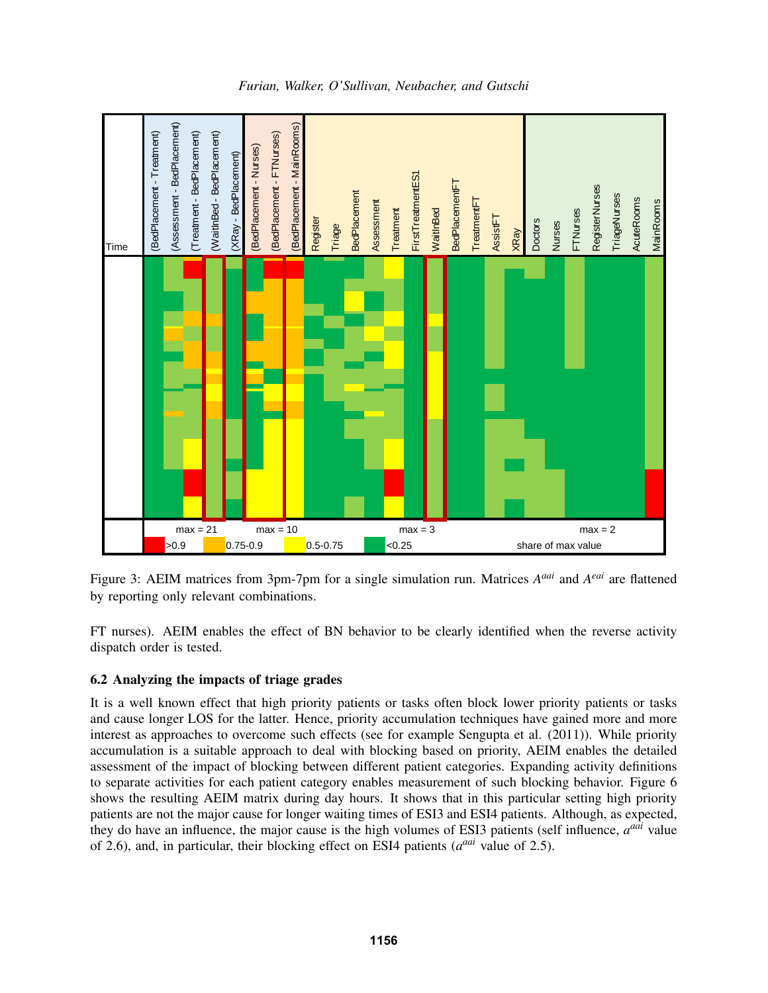

*Furian, Walker, O'Sullivan, Neubacher, and Gutschi*

<span id="page-8-1"></span>Figure 3: AEIM matrices from 3pm-7pm for a single simulation run. Matrices  $A^{aai}$  and  $A^{eai}$  are flattened by reporting only relevant combinations.

FT nurses). AEIM enables the effect of BN behavior to be clearly identified when the reverse activity dispatch order is tested.

## <span id="page-8-0"></span>6.2 Analyzing the impacts of triage grades

It is a well known effect that high priority patients or tasks often block lower priority patients or tasks and cause longer LOS for the latter. Hence, priority accumulation techniques have gained more and more interest as approaches to overcome such effects (see for example [Sengupta et al. \(2011\)\)](#page-11-10). While priority accumulation is a suitable approach to deal with blocking based on priority, AEIM enables the detailed assessment of the impact of blocking between different patient categories. Expanding activity definitions to separate activities for each patient category enables measurement of such blocking behavior. Figure [6](#page-10-9) shows the resulting AEIM matrix during day hours. It shows that in this particular setting high priority patients are not the major cause for longer waiting times of ESI3 and ESI4 patients. Although, as expected, they do have an influence, the major cause is the high volumes of ESI3 patients (self influence,  $a^{aai}$  value of 2.6), and, in particular, their blocking effect on ESI4 patients ( $a^{aai}$  value of 2.5).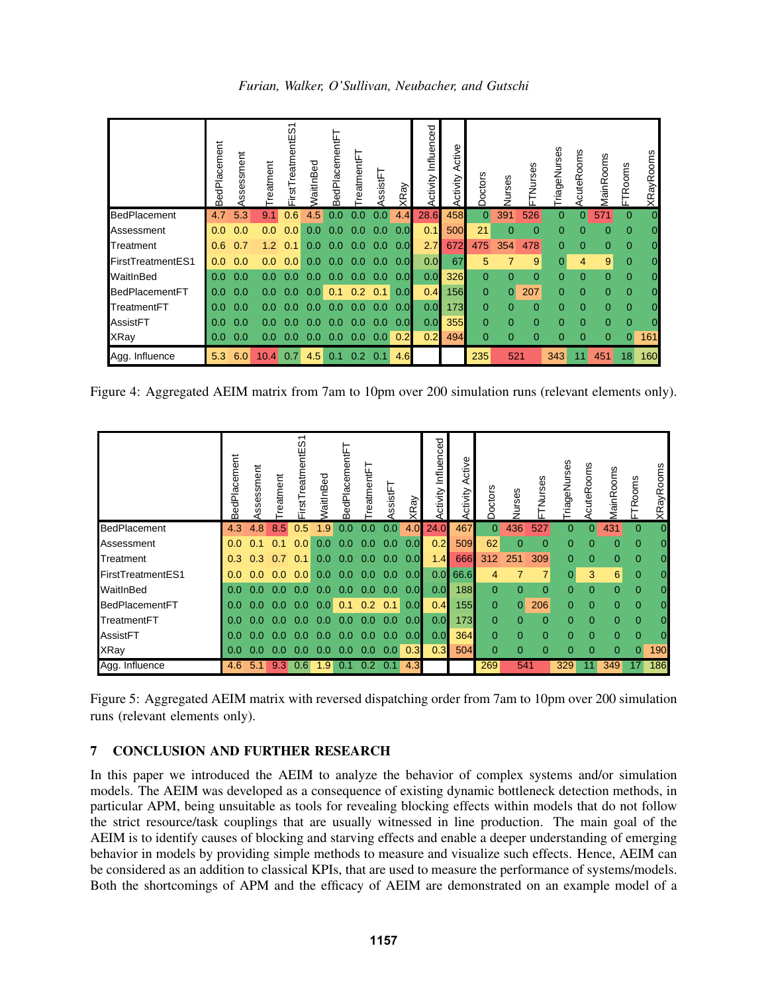|                   | BedPlacement | ssessment<br>ä | Treatment | ᠇<br>Ó<br><b>irstTreatmentE</b> | WaitInBed | <b>BedPlacementF</b> | <b>TreatmentF</b> | SsistF | $\mathfrak{g}$<br>ΧŘ. | Influenced<br>Activity | Active<br>Activity | Doctors  | Vurses   | TNurses        | TriageNurses | AcuteRooms     | MainRooms | <b>TRooms</b>  | <b>XRayRooms</b> |
|-------------------|--------------|----------------|-----------|---------------------------------|-----------|----------------------|-------------------|--------|-----------------------|------------------------|--------------------|----------|----------|----------------|--------------|----------------|-----------|----------------|------------------|
| BedPlacement      | 4.7          | 5.3            | 9.1       | 0.6                             | 4.5       | 0.0                  | 0.0               | 0.0    | 4.4                   | 28.6                   | 458                | $\Omega$ | 391      | 526            | 0            | 0              | 571       | $\mathbf 0$    | $\mathbf{0}$     |
| Assessment        | 0.0          | 0.0            | 0.0       | 0.0                             | 0.0       | O                    | 0<br>O.           | 0.0    | 0.0                   | 0.1                    | 500                | 21       | $\Omega$ | $\Omega$       | 0            | 0              | 0         | $\mathbf 0$    | 0                |
| Treatment         | 0.6          | 0.7            | 1.2       | $\Omega$                        | ი ი       |                      | O                 | 0.0    | 0.0                   | 2.7                    | 672                | 475      | 354      | 478            | $\Omega$     | $\Omega$       | 0         | $\overline{0}$ | $\Omega$         |
| FirstTreatmentES1 | 0.0          | 0.0            | 0.0       | $\Omega$<br>$\Omega$            | 0.0       |                      | O<br>$\Omega$     | 0.0    | 0.0                   | 0.0                    | 67                 | 5        |          | 9              |              | $\overline{4}$ | 9         | $\overline{0}$ | 0                |
| WaitInBed         | 0.0          | 0.0            | 0.O       |                                 | Ω         | O                    | 0<br>O.           | 0.0    | 0.0                   | 0.0                    | 326                | $\Omega$ | $\Omega$ | $\Omega$       | 0            | 0              | 0         | $\overline{0}$ | $\overline{O}$   |
| BedPlacementFT    | 0.0          | 0.0            | 0.0       | 0.0                             | 0.0       | $^{\circ}$ 1         | 0.2               | 0.1    | 0.0                   | 0.4                    | 156                | $\Omega$ | $\Omega$ | 207            | $\Omega$     | $\Omega$       | 0         | $\overline{0}$ | $\Omega$         |
| TreatmentFT       | 0.O          | 0.0            | 0.O       |                                 |           |                      | O                 | 0.0    | 0.0                   | 0.0                    | 173                | $\Omega$ | $\Omega$ | $\Omega$       | 0            | 0              | $\Omega$  | $\Omega$       | 0                |
| AssistFT          | 0.0          | 0.0            | ი ი       |                                 |           |                      | O                 | 0.0    | 0.0                   | 0.0                    | 355                | $\Omega$ | 0        | $\overline{0}$ | 0            | 0              | 0         | $\overline{0}$ | 0                |
| <b>XRay</b>       | 0.0          | 0.0            | 0.0       | 0                               | .0        | .0<br>0.             | 0.0               | 0.0    | 0.2                   | 0.2                    | 494                | 0        | $\Omega$ | $\Omega$       | 0            | 0              | 0         | 0              | 161              |
| Influence<br>Agg. | 5.3          | 6.0            | 10.4      | 0.7                             | 4.5       | 0.1                  | 0.2               | 0.1    | 4.6                   |                        |                    | 235      | 521      |                | 343          | 11             | 451       | 18             | 160              |

<span id="page-9-0"></span>Figure 4: Aggregated AEIM matrix from 7am to 10pm over 200 simulation runs (relevant elements only).

|                   | BedPlacement | ssessment      | reatment   | FirstTreatmentES1 | <b>NaitInBed</b> | BedPlacementF     | reatmentF            | AssistFT | δ<br>ΧŘ | Activity Influenced | Active<br>Activity | Doctors        | Vurses   | -TNurses       | TriageNurses | cuteRooms      | MainRooms | -TRooms        | <b>XRayRooms</b> |
|-------------------|--------------|----------------|------------|-------------------|------------------|-------------------|----------------------|----------|---------|---------------------|--------------------|----------------|----------|----------------|--------------|----------------|-----------|----------------|------------------|
| BedPlacement      | 4.3          | 4.8            | 8.5        | 0.5               | 1.9              | 0.0               | 0.0 <sub>1</sub>     | 0.0      | 4.0     | 24.0                | 467                | $\Omega$       | 436      | 527            | $\mathbf{0}$ | $\Omega$       | 431       | $\overline{0}$ | $\overline{0}$   |
| Assessment        | 0.0          |                |            | 0.0               | $0.0^{\circ}$    | $\Omega$          | $\Omega$             | 0.0      | 0.0     | 0.2                 | 509                | 62             | $\Omega$ | $\Omega$       | 0            | $\Omega$       | $\Omega$  | $\Omega$       | $\overline{0}$   |
| <b>Treatment</b>  | 0.3          | 0.3            | 0          | 0.1               | 0.0              | 0.0               | $0.0^{\circ}$        | 0.0      | 0.0     | 1.4                 | 666                | 312            | 251      | 309            | 0            | $\Omega$       | 0         | $\overline{0}$ | $\overline{O}$   |
| FirstTreatmentES1 | 0.0          | 0.0            | 0.0        | 0.0               | 0.0              | 0.0               | $\Omega$<br>$\Omega$ | 0.0      | 0.0     | 0.0 <sub>l</sub>    | 66.6               | 4              |          | 7              | 0            | 3              | 6         | $\mathbf{0}$   | $\overline{0}$   |
| WaitInBed         | .0           |                |            |                   | 0                |                   |                      | 0.0      | 0.0     | 0.0                 | 188                | $\Omega$       | 0        | $\Omega$       | 0            | $\Omega$       | 0         | $\Omega$       | $\overline{0}$   |
| BedPlacementFT    | 0.0          | 0.0            | 0.0        | 0.0               | 0.0 <sup>1</sup> | 0.1               | 0.2                  | 0.1      | 0.0     | 0.4                 | 155                | $\overline{0}$ | 0        | 206            | 0            | $\overline{0}$ | 0         | $\overline{0}$ | $\overline{0}$   |
| TreatmentFT       | 0.0          | 0 <sub>1</sub> | $^{\circ}$ |                   | O<br>0           | 0<br><sup>o</sup> | 0<br>$\Omega$        | 0.0      | 0.0     | 0.0                 | 173                | $\Omega$       | 0        | $\Omega$       | $\Omega$     | $\Omega$       | $\Omega$  | $\overline{0}$ | $\overline{0}$   |
| AssistFT          | O            |                |            |                   |                  |                   |                      | 0.0      | 0.0     | 0.0                 | 364                | $\Omega$       | 0        | $\overline{0}$ | $\Omega$     | $\Omega$       | 0         | $\Omega$       | $\Omega$         |
| <b>XRay</b>       | 0.0          | 0.0            | 0.0        |                   | .0<br>0          | 0                 | 0.0                  | 0.0      | 0.3     | 0.3                 | 504                | $\Omega$       | $\Omega$ | $\overline{0}$ | 0            | $\mathbf{0}$   | 0         | $\Omega$       | 190              |
| Influence<br>Agg. | 4.6          | 5.1            | 9.3        | 0.6               | 1.9              | 0.1               | 0.2                  | 0.1      | 4.3     |                     |                    | 269            | 541      |                | 329          |                | 349       | 17             | 186              |

<span id="page-9-1"></span>Figure 5: Aggregated AEIM matrix with reversed dispatching order from 7am to 10pm over 200 simulation runs (relevant elements only).

# 7 CONCLUSION AND FURTHER RESEARCH

In this paper we introduced the AEIM to analyze the behavior of complex systems and/or simulation models. The AEIM was developed as a consequence of existing dynamic bottleneck detection methods, in particular APM, being unsuitable as tools for revealing blocking effects within models that do not follow the strict resource/task couplings that are usually witnessed in line production. The main goal of the AEIM is to identify causes of blocking and starving effects and enable a deeper understanding of emerging behavior in models by providing simple methods to measure and visualize such effects. Hence, AEIM can be considered as an addition to classical KPIs, that are used to measure the performance of systems/models. Both the shortcomings of APM and the efficacy of AEIM are demonstrated on an example model of a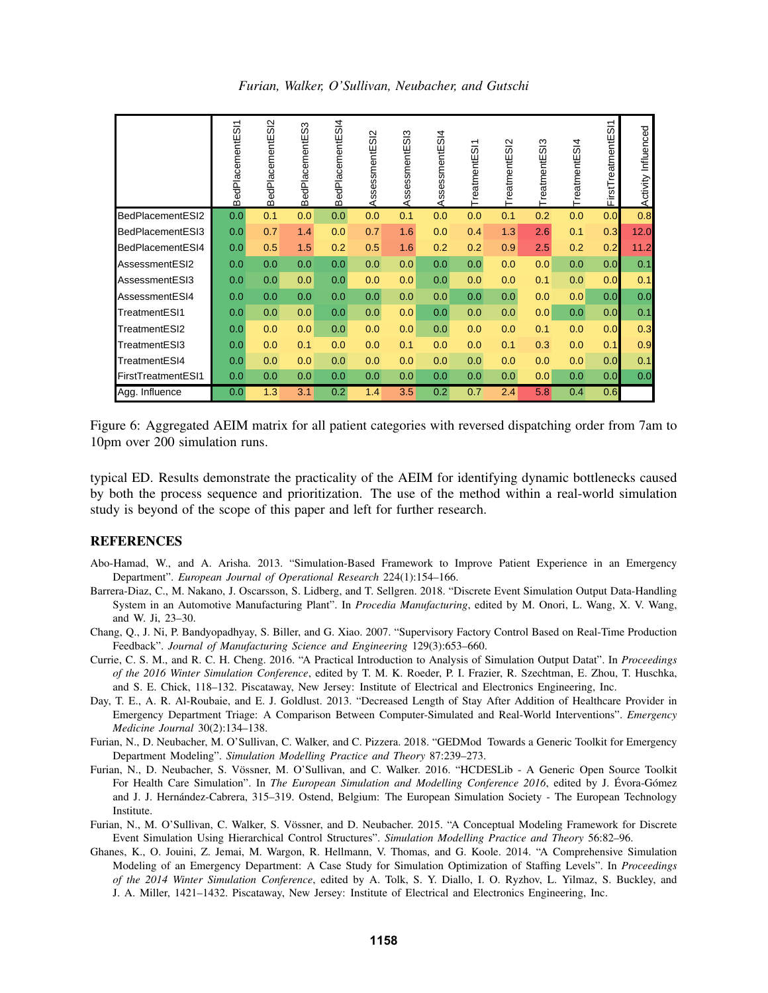*Furian, Walker, O'Sullivan, Neubacher, and Gutschi*

|                    | $\overline{5}$<br><b>BedPlacementE</b> | $\frac{2}{3}$<br>BedPlacementE | ွ့<br>BedPlacementE | $\frac{34}{4}$<br>BedPlacementE | AssessmentESI2 | AssessmentESI3 | ssessmentESI4<br>₹ | TreatmentESI1 | TreatmentESI2 | TreatmentESI3 | TreatmentESI4 | FirstTreatmentESI1 | Activity Influenced |
|--------------------|----------------------------------------|--------------------------------|---------------------|---------------------------------|----------------|----------------|--------------------|---------------|---------------|---------------|---------------|--------------------|---------------------|
| BedPlacementESI2   | 0.0                                    | 0.1                            | 0.0                 | 0.0                             | 0.0            | 0.1            | 0.0                | 0.0           | 0.1           | 0.2           | 0.0           | 0.0                | 0.8                 |
| BedPlacementESI3   | 0.0                                    | 0.7                            | 1.4                 | 0.0                             | 0.7            | 1.6            | 0.0                | 0.4           | 1.3           | 2.6           | 0.1           | 0.3                | 12.0                |
| BedPlacementESI4   | 0.0                                    | 0.5                            | 1.5                 | 0.2                             | 0.5            | 1.6            | 0.2                | 0.2           | 0.9           | 2.5           | 0.2           | 0.2                | 11.2                |
| AssessmentESI2     | 0.0                                    | 0.0                            | 0.0                 | 0.0                             | 0.0            | 0.0            | 0.0                | 0.0           | 0.0           | 0.0           | 0.0           | 0.0                | 0.1                 |
| AssessmentESI3     | 0.0                                    | 0.0                            | 0.0                 | 0.0                             | 0.0            | 0.0            | 0.0                | 0.0           | 0.0           | 0.1           | 0.0           | 0.0                | 0.1                 |
| AssessmentESI4     | 0.0                                    | 0.0                            | 0.0                 | 0.0                             | 0.0            | 0.0            | 0.0                | 0.0           | 0.0           | 0.0           | 0.0           | 0.0                | 0.0                 |
| TreatmentESI1      | 0.0                                    | 0.0                            | 0.0                 | 0.0                             | 0.0            | 0.0            | 0.0                | 0.0           | 0.0           | 0.0           | 0.0           | 0.0                | 0.1                 |
| TreatmentESI2      | 0.0                                    | 0.0                            | 0.0                 | 0.0                             | 0.0            | 0.0            | 0.0                | 0.0           | 0.0           | 0.1           | 0.0           | 0.0                | 0.3                 |
| TreatmentESI3      | 0.0                                    | 0.0                            | 0.1                 | 0.0                             | 0.0            | 0.1            | 0.0                | 0.0           | 0.1           | 0.3           | 0.0           | 0.1                | 0.9                 |
| TreatmentESI4      | 0.0                                    | 0.0                            | 0.0                 | 0.0                             | 0.0            | 0.0            | 0.0                | 0.0           | 0.0           | 0.0           | 0.0           | 0.0                | 0.1                 |
| FirstTreatmentESI1 | 0.0                                    | 0.0                            | 0.0                 | 0.0                             | 0.0            | 0.0            | 0.0                | 0.0           | 0.0           | 0.0           | 0.0           | 0.0                | 0.0                 |
| Agg. Influence     | 0.0                                    | 1.3                            | 3.1                 | 0.2                             | 1.4            | 3.5            | 0.2                | 0.7           | 2.4           | 5.8           | 0.4           | 0.6                |                     |

<span id="page-10-9"></span>Figure 6: Aggregated AEIM matrix for all patient categories with reversed dispatching order from 7am to 10pm over 200 simulation runs.

typical ED. Results demonstrate the practicality of the AEIM for identifying dynamic bottlenecks caused by both the process sequence and prioritization. The use of the method within a real-world simulation study is beyond of the scope of this paper and left for further research.

#### REFERENCES

- <span id="page-10-5"></span>Abo-Hamad, W., and A. Arisha. 2013. "Simulation-Based Framework to Improve Patient Experience in an Emergency Department". *European Journal of Operational Research* 224(1):154–166.
- <span id="page-10-1"></span>Barrera-Diaz, C., M. Nakano, J. Oscarsson, S. Lidberg, and T. Sellgren. 2018. "Discrete Event Simulation Output Data-Handling System in an Automotive Manufacturing Plant". In *Procedia Manufacturing*, edited by M. Onori, L. Wang, X. V. Wang, and W. Ji, 23–30.
- <span id="page-10-0"></span>Chang, Q., J. Ni, P. Bandyopadhyay, S. Biller, and G. Xiao. 2007. "Supervisory Factory Control Based on Real-Time Production Feedback". *Journal of Manufacturing Science and Engineering* 129(3):653–660.
- <span id="page-10-3"></span>Currie, C. S. M., and R. C. H. Cheng. 2016. "A Practical Introduction to Analysis of Simulation Output Datat". In *Proceedings of the 2016 Winter Simulation Conference*, edited by T. M. K. Roeder, P. I. Frazier, R. Szechtman, E. Zhou, T. Huschka, and S. E. Chick, 118–132. Piscataway, New Jersey: Institute of Electrical and Electronics Engineering, Inc.
- <span id="page-10-4"></span>Day, T. E., A. R. Al-Roubaie, and E. J. Goldlust. 2013. "Decreased Length of Stay After Addition of Healthcare Provider in Emergency Department Triage: A Comparison Between Computer-Simulated and Real-World Interventions". *Emergency Medicine Journal* 30(2):134–138.
- <span id="page-10-2"></span>Furian, N., D. Neubacher, M. O'Sullivan, C. Walker, and C. Pizzera. 2018. "GEDMod Towards a Generic Toolkit for Emergency Department Modeling". *Simulation Modelling Practice and Theory* 87:239–273.
- <span id="page-10-8"></span>Furian, N., D. Neubacher, S. Vössner, M. O'Sullivan, and C. Walker. 2016. "HCDESLib - A Generic Open Source Toolkit For Health Care Simulation". In *The European Simulation and Modelling Conference 2016*, edited by J. Évora-Gómez and J. J. Hernández-Cabrera, 315–319. Ostend, Belgium: The European Simulation Society - The European Technology Institute.
- <span id="page-10-7"></span>Furian, N., M. O'Sullivan, C. Walker, S. Vössner, and D. Neubacher. 2015. "A Conceptual Modeling Framework for Discrete Event Simulation Using Hierarchical Control Structures". *Simulation Modelling Practice and Theory* 56:82–96.
- <span id="page-10-6"></span>Ghanes, K., O. Jouini, Z. Jemai, M. Wargon, R. Hellmann, V. Thomas, and G. Koole. 2014. "A Comprehensive Simulation Modeling of an Emergency Department: A Case Study for Simulation Optimization of Staffing Levels". In *Proceedings of the 2014 Winter Simulation Conference*, edited by A. Tolk, S. Y. Diallo, I. O. Ryzhov, L. Yilmaz, S. Buckley, and J. A. Miller, 1421–1432. Piscataway, New Jersey: Institute of Electrical and Electronics Engineering, Inc.